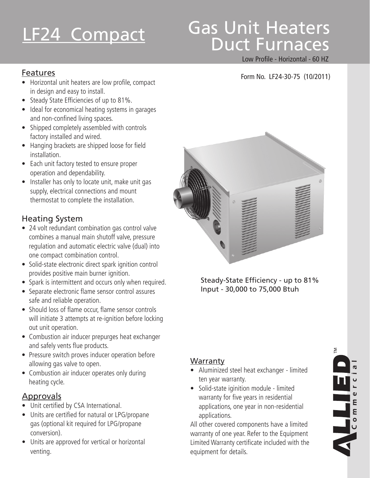# Gas Unit Heaters LF24 Compact das Unit Heaters

#### Low Profile - Horizontal - 60 HZ

### Features Form No. LF24-30-75 (10/2011)

- Horizontal unit heaters are low profile, compact in design and easy to install.
- Steady State Efficiencies of up to 81%.
- Ideal for economical heating systems in garages and non-confined living spaces.
- Shipped completely assembled with controls factory installed and wired.
- Hanging brackets are shipped loose for field installation.
- Each unit factory tested to ensure proper operation and dependability.
- Installer has only to locate unit, make unit gas supply, electrical connections and mount thermostat to complete the installation.

### Heating System

- 24 volt redundant combination gas control valve combines a manual main shutoff valve, pressure regulation and automatic electric valve (dual) into one compact combination control.
- Solid-state electronic direct spark ignition control provides positive main burner ignition.
- Spark is intermittent and occurs only when required.
- Separate electronic flame sensor control assures safe and reliable operation.
- Should loss of flame occur, flame sensor controls will initiate 3 attempts at re-ignition before locking out unit operation.
- Combustion air inducer prepurges heat exchanger and safely vents flue products.
- Pressure switch proves inducer operation before allowing gas valve to open.
- Combustion air inducer operates only during heating cycle.

### Approvals

- Unit certified by CSA International.
- Units are certified for natural or LPG/propane gas (optional kit required for LPG/propane conversion).
- Units are approved for vertical or horizontal venting.



Steady-State Efficiency - up to 81% Input - 30,000 to 75,000 Btuh

### **Warranty**

- • Aluminized steel heat exchanger limited ten year warranty.
- • Solid-state iginition module limited warranty for five years in residential applications, one year in non-residential applications.

All other covered components have a limited warranty of one year. Refer to the Equipment Limited Warranty certificate included with the equipment for details.

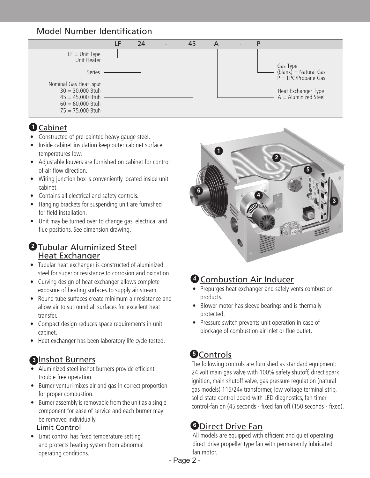### Model Number Identification



### Cabinet **1**

- Constructed of pre-painted heavy gauge steel.
- Inside cabinet insulation keep outer cabinet surface temperatures low.
- Adjustable louvers are furnished on cabinet for control of air flow direction.
- Wiring junction box is conveniently located inside unit cabinet.
- Contains all electrical and safety controls.
- Hanging brackets for suspending unit are furnished for field installation.
- Unit may be turned over to change gas, electrical and flue positions. See dimension drawing.

### Tubular Aluminized Steel **2** Heat Exchanger

- Tubular heat exchanger is constructed of aluminized steel for superior resistance to corrosion and oxidation.
- Curving design of heat exchanger allows complete exposure of heating surfaces to supply air stream.
- Round tube surfaces create minimum air resistance and allow air to surround all surfaces for excellent heat transfer.
- Compact design reduces space requirements in unit cabinet.
- Heat exchanger has been laboratory life cycle tested.

### **8** Inshot Burners

- • Aluminized steel inshot burners provide efficient trouble free operation.
- Burner venturi mixes air and gas in correct proportion for proper combustion.
- Burner assembly is removable from the unit as a single component for ease of service and each burner may be removed individually.

#### Limit Control

• Limit control has fixed temperature setting and protects heating system from abnormal operating conditions.



### **4 Combustion Air Inducer**

- Prepurges heat exchanger and safely vents combustion products.
- Blower motor has sleeve bearings and is thermally protected.
- Pressure switch prevents unit operation in case of blockage of combustion air inlet or flue outlet.

## **5** Controls

The following controls are furnished as standard equipment: 24 volt main gas valve with 100% safety shutoff, direct spark ignition, main shutoff valve, gas pressure regulation (natural gas models) 115/24v transformer, low voltage terminal strip, solid-state control board with LED diagnostics, fan timer control-fan on (45 seconds - fixed fan off (150 seconds - fixed).

### Direct Drive Fan **6**

All models are equipped with efficient and quiet operating direct drive propeller type fan with permanently lubricated fan motor.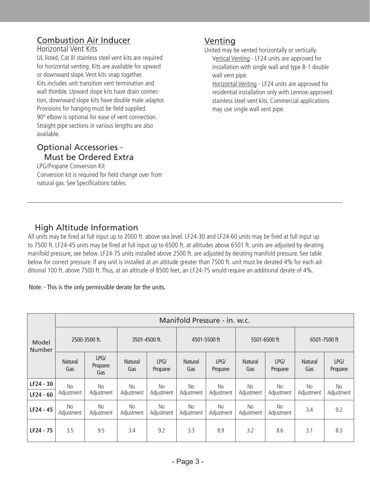#### Combustion Air Inducer Horizontal Vent Kits

UL listed, Cat III stainless steel vent kits are required for horizontal venting. Kits are available for upward or downward slope. Vent kits snap together. Kits includes unit transition vent termination and wall thimble. Upward slope kits have drain connection, downward slope kits have double male adaptor. Provisions for hanging must be field supplied. 90º elbow is optional for ease of vent connection. Straight pipe sections in various lengths are also available.

### Optional Accessories - Must be Ordered Extra

LPG/Propane Conversion Kit Conversion kit is required for field change over from natural gas. See Specifications tables.

### Venting

United may be vented horizontally or vertically. Vertical Venting - LF24 units are approved for installation with single wall and type B-1 double wall vent pipe.

Horizontal Venting - LF24 units are approved for residential installation only with Lennox-approved stainless steel vent kits. Commercial applications may use single wall vent pipe.

### High Altitude Information

All units may be fired at full input up to 2000 ft. above sea level. LF24-30 and LF24-60 units may be fired at full input up to 7500 ft. LF24-45 units may be fired at full input up to 6500 ft. at altitudes above 6501 ft. units are adjusted by derating manifold pressure, see below. LF24-75 units installed above 2500 ft. are adjusted by derating manifold pressure. See table below for correct pressure. If any unit is installed at an altitude greater than 7500 ft. unit must be derated 4% for each additional 100 ft. above 7500 ft. Thus, at an altitude of 8500 feet, an LF24-75 would require an additional derate of 4%.

Note: - This is the only permissible derate for the units.

| Model<br><b>Number</b>   | Manifold Pressure - in. w.c. |                        |                         |                         |                         |                   |                         |                         |                       |                   |
|--------------------------|------------------------------|------------------------|-------------------------|-------------------------|-------------------------|-------------------|-------------------------|-------------------------|-----------------------|-------------------|
|                          | 2500-3500 ft.                |                        | 3501-4500 ft.           |                         | 4501-5500 ft            |                   | 5501-6500 ft            |                         | 6501-7500 ft          |                   |
|                          | <b>Natural</b><br>Gas        | LPG/<br>Propane<br>Gas | <b>Natural</b><br>Gas   | LPG/<br>Propane         | <b>Natural</b><br>Gas   | LPG/<br>Propane   | <b>Natural</b><br>Gas   | LPG/<br>Propane         | <b>Natural</b><br>Gas | LPG/<br>Propane   |
| LF24 - 30<br>$LF24 - 60$ | <b>No</b><br>Adjustment      | No.<br>Adjustment      | <b>No</b><br>Adjustment | <b>No</b><br>Adjustment | <b>No</b><br>Adjustment | No.<br>Adjustment | <b>No</b><br>Adjustment | <b>No</b><br>Adjustment | No.<br>Adjustment     | No.<br>Adjustment |
| LF24 - 45                | <b>No</b><br>Adjustment      | No.<br>Adjustment      | <b>No</b><br>Adjustment | No<br>Adjustment        | No<br>Adjustment        | No.<br>Adjustment | No<br>Adjustment        | No<br>Adjustment        | 3.4                   | 9.2               |
| LF24 - 75                | 3.5                          | 9.5                    | 3.4                     | 9.2                     | 3.3                     | 8.9               | 3.2                     | 8.6                     | 3.1                   | 8.3               |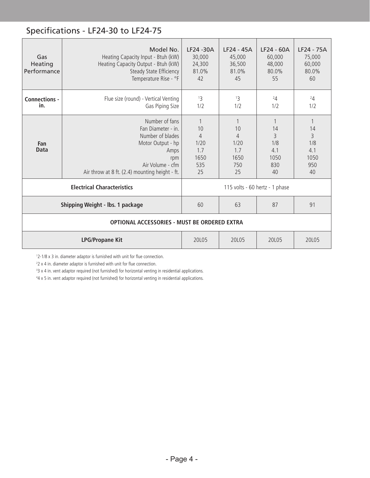### Specifications - LF24-30 to LF24-75

| Gas<br>Heating<br>Performance | Model No.<br>Heating Capacity Input - Btuh (kW)<br>Heating Capacity Output - Btuh (kW)<br>Steady State Efficiency<br>Temperature Rise - °F                         | LF24 -30A<br>30,000<br>24,300<br>81.0%<br>42             | LF24 - 45A<br>45,000<br>36,500<br>81.0%<br>45 | LF24 - 60A<br>60,000<br>48,000<br>80.0%<br>55 | LF24 - 75A<br>75,000<br>60,000<br>80.0%<br>60 |  |  |
|-------------------------------|--------------------------------------------------------------------------------------------------------------------------------------------------------------------|----------------------------------------------------------|-----------------------------------------------|-----------------------------------------------|-----------------------------------------------|--|--|
| <b>Connections -</b><br>in.   | Flue size (round) - Vertical Venting<br>Gas Piping Size                                                                                                            | 13<br>1/2                                                | 13<br>1/2                                     | 24<br>1/2                                     | 24<br>1/2                                     |  |  |
| Fan<br>Data                   | Number of fans<br>Fan Diameter - in.<br>Number of blades<br>Motor Output - hp<br>Amps<br>rpm<br>Air Volume - cfm<br>Air throw at 8 ft. (2.4) mounting height - ft. | 10<br>$\overline{4}$<br>1/20<br>1.7<br>1650<br>535<br>25 | 10<br>4<br>1/20<br>1.7<br>1650<br>750<br>25   | 14<br>3<br>1/8<br>4.1<br>1050<br>830<br>40    | 14<br>3<br>1/8<br>4.1<br>1050<br>950<br>40    |  |  |
|                               | <b>Electrical Characteristics</b>                                                                                                                                  | 115 volts - 60 hertz - 1 phase                           |                                               |                                               |                                               |  |  |
|                               | Shipping Weight - Ibs. 1 package                                                                                                                                   | 60                                                       | 63                                            | 87                                            | 91                                            |  |  |
|                               | OPTIONAL ACCESSORIES - MUST BE ORDERED EXTRA                                                                                                                       |                                                          |                                               |                                               |                                               |  |  |
|                               | <b>LPG/Propane Kit</b>                                                                                                                                             | 20L05                                                    | 20L05                                         | 20L05                                         | 20L05                                         |  |  |

1 2-1/8 x 3 in. diameter adaptor is furnished with unit for flue connection.

2 2 x 4 in. diameter adaptor is furnished with unit for flue connection.

<sup>3</sup>3 x 4 in. vent adaptor required (not furnished) for horizontal venting in residential applications.

4 4 x 5 in. vent adaptor required (not furnished) for horizontal venting in residential applications.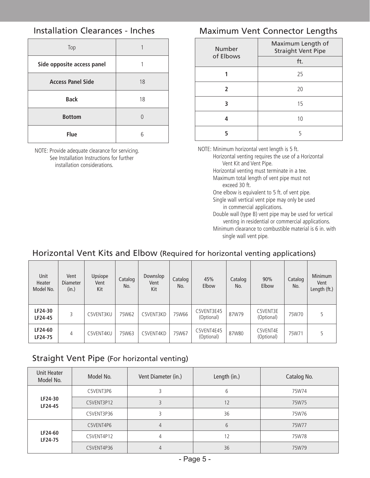### Installation Clearances - Inches

| Top                        |    |
|----------------------------|----|
| Side opposite access panel |    |
| <b>Access Panel Side</b>   | 18 |
| <b>Back</b>                | 18 |
| <b>Bottom</b>              |    |
| Flue                       | հ  |

NOTE: Provide adequate clearance for servicing. See Installation Instructions for further installation considerations.

### Maximum Vent Connector Lengths

| Number    | Maximum Length of<br><b>Straight Vent Pipe</b> |  |  |
|-----------|------------------------------------------------|--|--|
| of Elbows | ft.                                            |  |  |
|           | 25                                             |  |  |
| 2         | 20                                             |  |  |
|           | 15                                             |  |  |
|           | 10                                             |  |  |
| 5         |                                                |  |  |

NOTE: Minimum horizontal vent length is 5 ft. Horizontal venting requires the use of a Horizontal Vent Kit and Vent Pipe. Horizontal venting must terminate in a tee.

 Maximum total length of vent pipe must not exceed 30 ft.

 One elbow is equivalent to 5 ft. of vent pipe. Single wall vertical vent pipe may only be used

 in commercial applications.

- Double wall (type B) vent pipe may be used for vertical venting in residential or commercial applications.
- Minimum clearance to combustible material is 6 in. with single wall vent pipe.

### Horizontal Vent Kits and Elbow (Required for horizontal venting applications)

| Unit<br>Heater<br>Model No. | Vent<br><b>Diameter</b><br>(in.) | Upsiope<br>Vent<br>Kit | Catalog<br>No. | Downslop<br>Vent<br>Kit | Catalog<br>No. | 45%<br>Elbow             | Catalog<br>No. | 90%<br>Elbow           | Catalog<br>No. | Minimum<br>Vent<br>Length (ft.) |
|-----------------------------|----------------------------------|------------------------|----------------|-------------------------|----------------|--------------------------|----------------|------------------------|----------------|---------------------------------|
| LF24-30<br>LF24-45          | 3                                | C5VENT3KU              | 75W62          | C5VENT3KD               | 75W66          | C5VENT3E45<br>(Optional) | 87W79          | C5VENT3E<br>(Optional) | 75W70          |                                 |
| LF24-60<br>LF24-75          | 4                                | C5VENT4KU              | 75W63          | C5VENT4KD               | 75W67          | C5VENT4E45<br>(Optional) | 87W80          | C5VENT4E<br>(Optional) | 75W71          |                                 |

### Straight Vent Pipe (For horizontal venting)

| Unit Heater<br>Model No. | Model No.  | Vent Diameter (in.) | Length (in.) | Catalog No. |  |
|--------------------------|------------|---------------------|--------------|-------------|--|
|                          | C5VENT3P6  |                     | b            | 75W74       |  |
| LF24-30<br>LF24-45       | C5VENT3P12 |                     | 12           | 75W75       |  |
|                          | C5VENT3P36 |                     | 36           | 75W76       |  |
|                          | C5VENT4P6  | 4                   | 6            | 75W77       |  |
| LF24-60<br>LF24-75       | C5VENT4P12 | 4                   | 12           | 75W78       |  |
|                          | C5VENT4P36 | 4                   | 36           | 75W79       |  |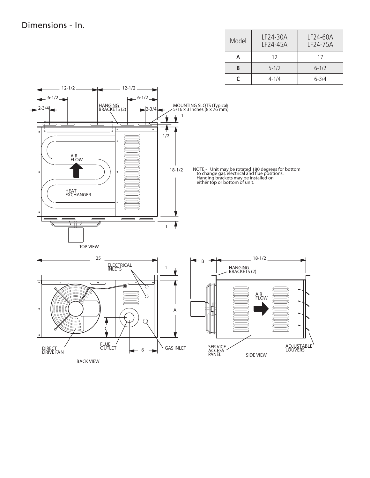| Model | LF24-30A<br>LF24-45A | LF24-60A<br>LF24-75A |  |  |
|-------|----------------------|----------------------|--|--|
| А     | 12                   | 17                   |  |  |
| R     | $5 - 1/2$            | $6 - 1/2$            |  |  |
|       | $4 - 1/4$            | $6 - 3/4$            |  |  |

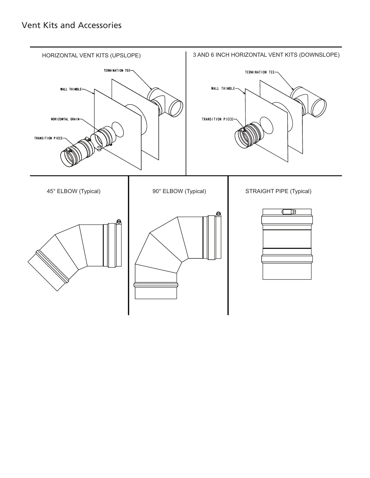